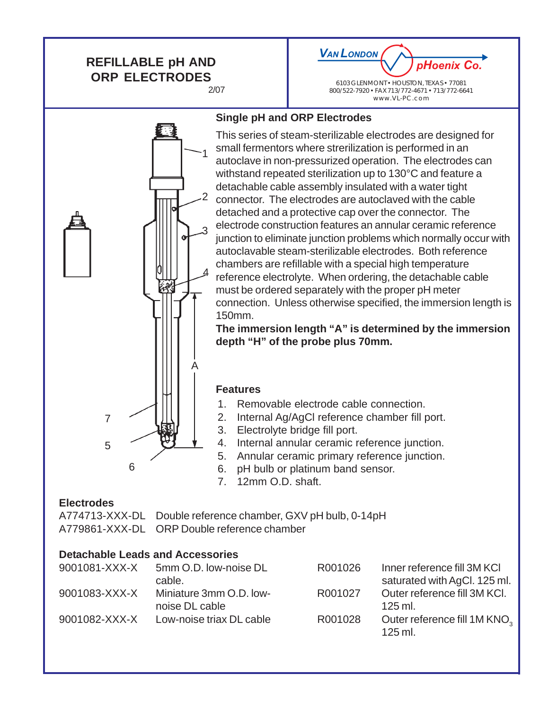## **REFILLABLE pH AND ORP ELECTRODES** 2/07

*VAN LONDON pHoenix Co.*

6103 GLENMONT • HOUSTON, TEXAS • 77081 800/522-7920 • FAX 713/772-4671 • 713/772-6641 www.VL-PC.com

## **Single pH and ORP Electrodes**

This series of steam-sterilizable electrodes are designed for small fermentors where strerilization is performed in an autoclave in non-pressurized operation. The electrodes can withstand repeated sterilization up to 130°C and feature a detachable cable assembly insulated with a water tight connector. The electrodes are autoclaved with the cable detached and a protective cap over the connector. The electrode construction features an annular ceramic reference junction to eliminate junction problems which normally occur with autoclavable steam-sterilizable electrodes. Both reference chambers are refillable with a special high temperature reference electrolyte. When ordering, the detachable cable must be ordered separately with the proper pH meter connection. Unless otherwise specified, the immersion length is 150mm.

**The immersion length "A" is determined by the immersion depth "H" of the probe plus 70mm.**

#### **Features**

- 1. Removable electrode cable connection.
- 2. Internal Ag/AgCl reference chamber fill port.
- 3. Electrolyte bridge fill port.
- 4. Internal annular ceramic reference junction.
- 5. Annular ceramic primary reference junction.
- 6. pH bulb or platinum band sensor.
- 7. 12mm O.D. shaft.

## **Electrodes**

A774713-XXX-DL Double reference chamber, GXV pH bulb, 0-14pH A779861-XXX-DL ORP Double reference chamber

## **Detachable Leads and Accessories**

| 9001081-XXX-X | 5mm O.D. low-noise DL    | R001026 | Inner reference fill 3M KCI              |
|---------------|--------------------------|---------|------------------------------------------|
|               | cable.                   |         | saturated with AgCl. 125 ml.             |
| 9001083-XXX-X | Miniature 3mm O.D. low-  | R001027 | Outer reference fill 3M KCI.             |
|               | noise DL cable           |         | $125$ ml.                                |
| 9001082-XXX-X | Low-noise triax DL cable | R001028 | Outer reference fill 1M KNO <sub>2</sub> |
|               |                          |         | $125$ ml.                                |